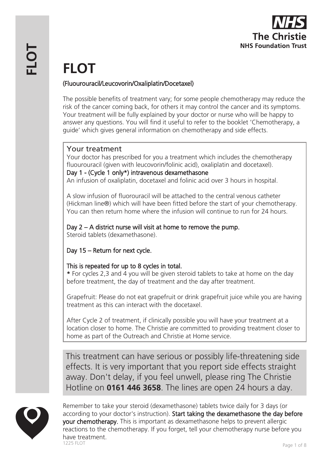

# **FLOT**

## (Fluourouracil/Leucovorin/Oxaliplatin/Docetaxel)

The possible benefits of treatment vary; for some people chemotherapy may reduce the risk of the cancer coming back, for others it may control the cancer and its symptoms. Your treatment will be fully explained by your doctor or nurse who will be happy to answer any questions. You will find it useful to refer to the booklet 'Chemotherapy, a guide' which gives general information on chemotherapy and side effects.

# Your treatment

Your doctor has prescribed for you a treatment which includes the chemotherapy fluourouracil (given with leucovorin/folinic acid), oxaliplatin and docetaxel). Day 1 - (Cycle 1 only\*) intravenous dexamethasone An infusion of oxaliplatin, docetaxel and folinic acid over 3 hours in hospital.

A slow infusion of fluorouracil will be attached to the central venous catheter (Hickman line®) which will have been fitted before the start of your chemotherapy. You can then return home where the infusion will continue to run for 24 hours.

## Day 2 – A district nurse will visit at home to remove the pump.

Steroid tablets (dexamethasone).

# Day 15 – Return for next cycle.

## This is repeated for up to 8 cycles in total.

\* For cycles 2,3 and 4 you will be given steroid tablets to take at home on the day before treatment, the day of treatment and the day after treatment.

Grapefruit: Please do not eat grapefruit or drink grapefruit juice while you are having treatment as this can interact with the docetaxel.

After Cycle 2 of treatment, if clinically possible you will have your treatment at a location closer to home. The Christie are committed to providing treatment closer to home as part of the Outreach and Christie at Home service.

This treatment can have serious or possibly life-threatening side effects. It is very important that you report side effects straight away. Don't delay, if you feel unwell, please ring The Christie Hotline on **0161 446 3658**. The lines are open 24 hours a day.



Remember to take your steroid (dexamethasone) tablets twice daily for 3 days (or according to your doctor's instruction). Start taking the dexamethasone the day before your chemotherapy. This is important as dexamethasone helps to prevent allergic reactions to the chemotherapy. If you forget, tell your chemotherapy nurse before you have treatment.<br>1225 FLOT nd a start of the Page 1 of 8 and 225 FLOT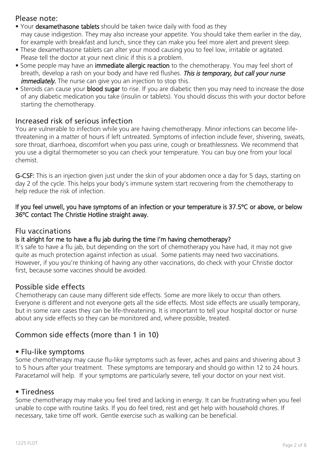## Please note:

- Your dexamethasone tablets should be taken twice daily with food as they may cause indigestion. They may also increase your appetite. You should take them earlier in the day, for example with breakfast and lunch, since they can make you feel more alert and prevent sleep.
- These dexamethasone tablets can alter your mood causing you to feel low, irritable or agitated. Please tell the doctor at your next clinic if this is a problem.
- Some people may have an immediate allergic reaction to the chemotherapy. You may feel short of breath, develop a rash on your body and have red flushes. This is temporary, but call your nurse *immediately*. The nurse can give you an injection to stop this.
- Steroids can cause your **blood sugar** to rise. If you are diabetic then you may need to increase the dose of any diabetic medication you take (insulin or tablets). You should discuss this with your doctor before starting the chemotherapy.

## Increased risk of serious infection

You are vulnerable to infection while you are having chemotherapy. Minor infections can become lifethreatening in a matter of hours if left untreated. Symptoms of infection include fever, shivering, sweats, sore throat, diarrhoea, discomfort when you pass urine, cough or breathlessness. We recommend that you use a digital thermometer so you can check your temperature. You can buy one from your local chemist.

G-CSF: This is an injection given just under the skin of your abdomen once a day for 5 days, starting on day 2 of the cycle. This helps your body's immune system start recovering from the chemotherapy to help reduce the risk of infection.

#### If you feel unwell, you have symptoms of an infection or your temperature is 37.5ºC or above, or below 36ºC contact The Christie Hotline straight away.

## Flu vaccinations

## Is it alright for me to have a flu jab during the time I'm having chemotherapy?

It's safe to have a flu jab, but depending on the sort of chemotherapy you have had, it may not give quite as much protection against infection as usual. Some patients may need two vaccinations. However, if you you're thinking of having any other vaccinations, do check with your Christie doctor first, because some vaccines should be avoided.

## Possible side effects

Chemotherapy can cause many different side effects. Some are more likely to occur than others. Everyone is different and not everyone gets all the side effects. Most side effects are usually temporary, but in some rare cases they can be life-threatening. It is important to tell your hospital doctor or nurse about any side effects so they can be monitored and, where possible, treated.

## Common side effects (more than 1 in 10)

## • Flu-like symptoms

Some chemotherapy may cause flu-like symptoms such as fever, aches and pains and shivering about 3 to 5 hours after your treatment. These symptoms are temporary and should go within 12 to 24 hours. Paracetamol will help. If your symptoms are particularly severe, tell your doctor on your next visit.

#### • Tiredness

Some chemotherapy may make you feel tired and lacking in energy. It can be frustrating when you feel unable to cope with routine tasks. If you do feel tired, rest and get help with household chores. If necessary, take time off work. Gentle exercise such as walking can be beneficial.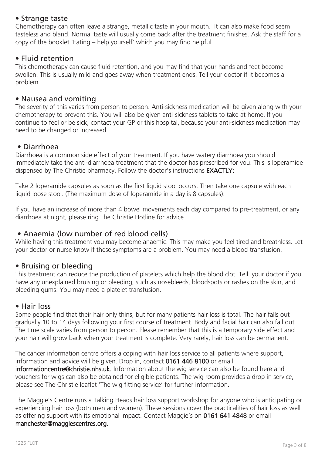## • Strange taste

Chemotherapy can often leave a strange, metallic taste in your mouth. It can also make food seem tasteless and bland. Normal taste will usually come back after the treatment finishes. Ask the staff for a copy of the booklet 'Eating – help yourself' which you may find helpful.

## • Fluid retention

This chemotherapy can cause fluid retention, and you may find that your hands and feet become swollen. This is usually mild and goes away when treatment ends. Tell your doctor if it becomes a problem.

#### • Nausea and vomiting

The severity of this varies from person to person. Anti-sickness medication will be given along with your chemotherapy to prevent this. You will also be given anti-sickness tablets to take at home. If you continue to feel or be sick, contact your GP or this hospital, because your anti-sickness medication may need to be changed or increased.

## • Diarrhoea

Diarrhoea is a common side effect of your treatment. If you have watery diarrhoea you should immediately take the anti-diarrhoea treatment that the doctor has prescribed for you. This is loperamide dispensed by The Christie pharmacy. Follow the doctor's instructions EXACTLY:

Take 2 loperamide capsules as soon as the first liquid stool occurs. Then take one capsule with each liquid loose stool. (The maximum dose of loperamide in a day is 8 capsules).

If you have an increase of more than 4 bowel movements each day compared to pre-treatment, or any diarrhoea at night, please ring The Christie Hotline for advice.

## • Anaemia (low number of red blood cells)

While having this treatment you may become anaemic. This may make you feel tired and breathless. Let your doctor or nurse know if these symptoms are a problem. You may need a blood transfusion.

## • Bruising or bleeding

This treatment can reduce the production of platelets which help the blood clot. Tell your doctor if you have any unexplained bruising or bleeding, such as nosebleeds, bloodspots or rashes on the skin, and bleeding gums. You may need a platelet transfusion.

#### • Hair loss

Some people find that their hair only thins, but for many patients hair loss is total. The hair falls out gradually 10 to 14 days following your first course of treatment. Body and facial hair can also fall out. The time scale varies from person to person. Please remember that this is a temporary side effect and your hair will grow back when your treatment is complete. Very rarely, hair loss can be permanent.

The cancer information centre offers a coping with hair loss service to all patients where support, information and advice will be given. Drop in, contact 0161 446 8100 or email informationcentre@christie.nhs.uk. Information about the wig service can also be found here and vouchers for wigs can also be obtained for eligible patients. The wig room provides a drop in service, please see The Christie leaflet 'The wig fitting service' for further information.

The Maggie's Centre runs a Talking Heads hair loss support workshop for anyone who is anticipating or experiencing hair loss (both men and women). These sessions cover the practicalities of hair loss as well as offering support with its emotional impact. Contact Maggie's on 0161 641 4848 or email manchester@maggiescentres.org.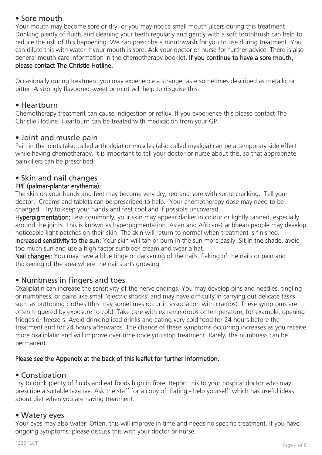## • Sore mouth

Your mouth may become sore or dry, or you may notice small mouth ulcers during this treatment. Drinking plenty of fluids and cleaning your teeth regularly and gently with a soft toothbrush can help to reduce the risk of this happening. We can prescribe a mouthwash for you to use during treatment. You can dilute this with water if your mouth is sore. Ask your doctor or nurse for further advice. There is also general mouth care information in the chemotherapy booklet. If you continue to have a sore mouth, please contact The Christie Hotline.

Occasionally during treatment you may experience a strange taste sometimes described as metallic or bitter. A strongly flavoured sweet or mint will help to disguise this.

## • Heartburn

Chemotherapy treatment can cause indigestion or reflux. If you experience this please contact The Christie Hotline. Heartburn can be treated with medication from your GP.

## • Joint and muscle pain

Pain in the joints (also called arthralgia) or muscles (also called myalgia) can be a temporary side effect while having chemotherapy. It is important to tell your doctor or nurse about this, so that appropriate painkillers can be prescribed.

## • Skin and nail changes

## PPE (palmar-plantar erythema):

The skin on your hands and feet may become very dry, red and sore with some cracking. Tell your doctor. Creams and tablets can be prescribed to help. Your chemotherapy dose may need to be changed. Try to keep your hands and feet cool and if possible uncovered.

Hyperpigmentation: Less commonly, your skin may appear darker in colour or lightly tanned, especially around the joints. This is known as hyperpigmentation. Asian and African-Caribbean people may develop noticeable light patches on their skin. The skin will return to normal when treatment is finished. Increased sensitivity to the sun: Your skin will tan or burn in the sun more easily. Sit in the shade, avoid too much sun and use a high factor sunblock cream and wear a hat.

Nail changes: You may have a blue tinge or darkening of the nails, flaking of the nails or pain and thickening of the area where the nail starts growing.

## • Numbness in fingers and toes

Oxaliplatin can increase the sensitivity of the nerve endings. You may develop pins and needles, tingling or numbness, or pains like small 'electric shocks' and may have difficulty in carrying out delicate tasks such as buttoning clothes (this may sometimes occur in association with cramps). These symptoms are often triggered by exposure to cold. Take care with extreme drops of temperature, for example, opening fridges or freezers. Avoid drinking iced drinks and eating very cold food for 24 hours before the treatment and for 24 hours afterwards. The chance of these symptoms occurring increases as you receive more oxaliplatin and will improve over time once you stop treatment. Rarely, the numbness can be permanent.

## Please see the Appendix at the back of this leaflet for further information.

## • Constipation

Try to drink plenty of fluids and eat foods high in fibre. Report this to your hospital doctor who may prescribe a suitable laxative. Ask the staff for a copy of 'Eating - help yourself' which has useful ideas about diet when you are having treatment.

## • Watery eyes

Your eyes may also water. Often, this will improve in time and needs no specific treatment. If you have ongoing symptoms, please discuss this with your doctor or nurse.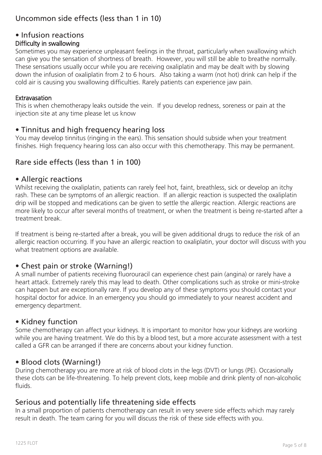# Uncommon side effects (less than 1 in 10)

# • Infusion reactions

## Difficulty in swallowing

Sometimes you may experience unpleasant feelings in the throat, particularly when swallowing which can give you the sensation of shortness of breath. However, you will still be able to breathe normally. These sensations usually occur while you are receiving oxaliplatin and may be dealt with by slowing down the infusion of oxaliplatin from 2 to 6 hours. Also taking a warm (not hot) drink can help if the cold air is causing you swallowing difficulties. Rarely patients can experience jaw pain.

#### **Extravasation**

This is when chemotherapy leaks outside the vein. If you develop redness, soreness or pain at the injection site at any time please let us know

## • Tinnitus and high frequency hearing loss

You may develop tinnitus (ringing in the ears). This sensation should subside when your treatment finishes. High frequency hearing loss can also occur with this chemotherapy. This may be permanent.

## Rare side effects (less than 1 in 100)

#### • Allergic reactions

Whilst receiving the oxaliplatin, patients can rarely feel hot, faint, breathless, sick or develop an itchy rash. These can be symptoms of an allergic reaction. If an allergic reaction is suspected the oxaliplatin drip will be stopped and medications can be given to settle the allergic reaction. Allergic reactions are more likely to occur after several months of treatment, or when the treatment is being re-started after a treatment break.

If treatment is being re-started after a break, you will be given additional drugs to reduce the risk of an allergic reaction occurring. If you have an allergic reaction to oxaliplatin, your doctor will discuss with you what treatment options are available.

## • Chest pain or stroke (Warning!)

A small number of patients receiving fluorouracil can experience chest pain (angina) or rarely have a heart attack. Extremely rarely this may lead to death. Other complications such as stroke or mini-stroke can happen but are exceptionally rare. If you develop any of these symptoms you should contact your hospital doctor for advice. In an emergency you should go immediately to your nearest accident and emergency department.

## • Kidney function

Some chemotherapy can affect your kidneys. It is important to monitor how your kidneys are working while you are having treatment. We do this by a blood test, but a more accurate assessment with a test called a GFR can be arranged if there are concerns about your kidney function.

## • Blood clots (Warning!)

During chemotherapy you are more at risk of blood clots in the legs (DVT) or lungs (PE). Occasionally these clots can be life-threatening. To help prevent clots, keep mobile and drink plenty of non-alcoholic fluids.

## Serious and potentially life threatening side effects

In a small proportion of patients chemotherapy can result in very severe side effects which may rarely result in death. The team caring for you will discuss the risk of these side effects with you.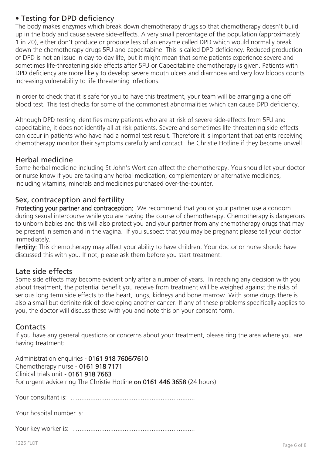# • Testing for DPD deficiency

The body makes enzymes which break down chemotherapy drugs so that chemotherapy doesn't build up in the body and cause severe side-effects. A very small percentage of the population (approximately 1 in 20), either don't produce or produce less of an enzyme called DPD which would normally break down the chemotherapy drugs 5FU and capecitabine. This is called DPD deficiency. Reduced production of DPD is not an issue in day-to-day life, but it might mean that some patients experience severe and sometimes life-threatening side effects after 5FU or Capecitabine chemotherapy is given. Patients with DPD deficiency are more likely to develop severe mouth ulcers and diarrhoea and very low bloods counts increasing vulnerability to life threatening infections.

In order to check that it is safe for you to have this treatment, your team will be arranging a one off blood test. This test checks for some of the commonest abnormalities which can cause DPD deficiency.

Although DPD testing identifies many patients who are at risk of severe side-effects from 5FU and capecitabine, it does not identify all at risk patients. Severe and sometimes life-threatening side-effects can occur in patients who have had a normal test result. Therefore it is important that patients receiving chemotherapy monitor their symptoms carefully and contact The Christie Hotline if they become unwell.

## Herbal medicine

Some herbal medicine including St John's Wort can affect the chemotherapy. You should let your doctor or nurse know if you are taking any herbal medication, complementary or alternative medicines, including vitamins, minerals and medicines purchased over-the-counter.

## Sex, contraception and fertility

Protecting your partner and contraception: We recommend that you or your partner use a condom during sexual intercourse while you are having the course of chemotherapy. Chemotherapy is dangerous to unborn babies and this will also protect you and your partner from any chemotherapy drugs that may be present in semen and in the vagina. If you suspect that you may be pregnant please tell your doctor immediately.

Fertility: This chemotherapy may affect your ability to have children. Your doctor or nurse should have discussed this with you. If not, please ask them before you start treatment.

## Late side effects

Some side effects may become evident only after a number of years. In reaching any decision with you about treatment, the potential benefit you receive from treatment will be weighed against the risks of serious long term side effects to the heart, lungs, kidneys and bone marrow. With some drugs there is also a small but definite risk of developing another cancer. If any of these problems specifically applies to you, the doctor will discuss these with you and note this on your consent form.

## Contacts

If you have any general questions or concerns about your treatment, please ring the area where you are having treatment:

Administration enquiries - 0161 918 7606/7610 Chemotherapy nurse - 0161 918 7171 Clinical trials unit - 0161 918 7663 For urgent advice ring The Christie Hotline on 0161 446 3658 (24 hours)

Your consultant is: .....................................................................

Your hospital number is: ...........................................................

Your key worker is: ....................................................................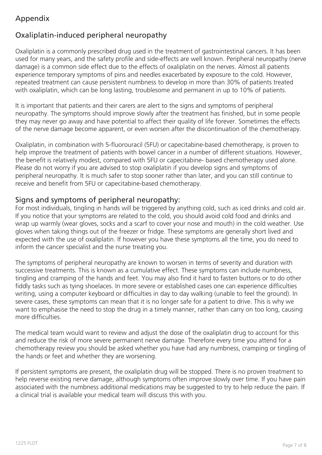# Appendix

# Oxaliplatin-induced peripheral neuropathy

Oxaliplatin is a commonly prescribed drug used in the treatment of gastrointestinal cancers. It has been used for many years, and the safety profile and side-effects are well known. Peripheral neuropathy (nerve damage) is a common side effect due to the effects of oxaliplatin on the nerves. Almost all patients experience temporary symptoms of pins and needles exacerbated by exposure to the cold. However, repeated treatment can cause persistent numbness to develop in more than 30% of patients treated with oxaliplatin, which can be long lasting, troublesome and permanent in up to 10% of patients.

It is important that patients and their carers are alert to the signs and symptoms of peripheral neuropathy. The symptoms should improve slowly after the treatment has finished, but in some people they may never go away and have potential to affect their quality of life forever. Sometimes the effects of the nerve damage become apparent, or even worsen after the discontinuation of the chemotherapy.

Oxaliplatin, in combination with 5-fluorouracil (5FU) or capecitabine-based chemotherapy, is proven to help improve the treatment of patients with bowel cancer in a number of different situations. However, the benefit is relatively modest, compared with 5FU or capecitabine- based chemotherapy used alone. Please do not worry if you are advised to stop oxaliplatin if you develop signs and symptoms of peripheral neuropathy. It is much safer to stop sooner rather than later, and you can still continue to receive and benefit from 5FU or capecitabine-based chemotherapy.

## Signs and symptoms of peripheral neuropathy:

For most individuals, tingling in hands will be triggered by anything cold, such as iced drinks and cold air. If you notice that your symptoms are related to the cold, you should avoid cold food and drinks and wrap up warmly (wear gloves, socks and a scarf to cover your nose and mouth) in the cold weather. Use gloves when taking things out of the freezer or fridge. These symptoms are generally short lived and expected with the use of oxaliplatin. If however you have these symptoms all the time, you do need to inform the cancer specialist and the nurse treating you.

The symptoms of peripheral neuropathy are known to worsen in terms of severity and duration with successive treatments. This is known as a cumulative effect. These symptoms can include numbness, tingling and cramping of the hands and feet. You may also find it hard to fasten buttons or to do other fiddly tasks such as tying shoelaces. In more severe or established cases one can experience difficulties writing, using a computer keyboard or difficulties in day to day walking (unable to feel the ground). In severe cases, these symptoms can mean that it is no longer safe for a patient to drive. This is why we want to emphasise the need to stop the drug in a timely manner, rather than carry on too long, causing more difficulties.

The medical team would want to review and adjust the dose of the oxaliplatin drug to account for this and reduce the risk of more severe permanent nerve damage. Therefore every time you attend for a chemotherapy review you should be asked whether you have had any numbness, cramping or tingling of the hands or feet and whether they are worsening.

If persistent symptoms are present, the oxaliplatin drug will be stopped. There is no proven treatment to help reverse existing nerve damage, although symptoms often improve slowly over time. If you have pain associated with the numbness additional medications may be suggested to try to help reduce the pain. If a clinical trial is available your medical team will discuss this with you.